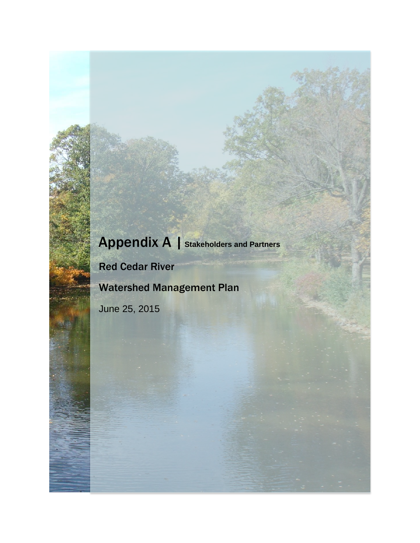## Appendix A | **Stakeholders and Partners**

Red Cedar River

Watershed Management Plan

June 25, 2015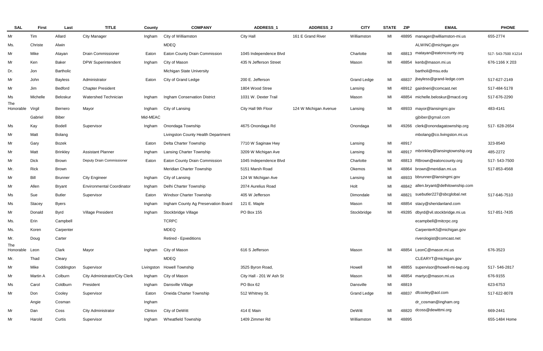| <b>SAL</b>       | <b>First</b> | Last            | <b>TITLE</b>                     | County     | <b>COMPANY</b>                      | ADDRESS_1                | ADDRESS_2             | <b>CITY</b>        | <b>STATE</b> | <b>ZIP</b> | <b>EMAIL</b>                       | <b>PHONE</b>       |
|------------------|--------------|-----------------|----------------------------------|------------|-------------------------------------|--------------------------|-----------------------|--------------------|--------------|------------|------------------------------------|--------------------|
| Mr               | Tim          | Allard          | <b>City Manager</b>              | Ingham     | City of Williamston                 | City Hall                | 161 E Grand River     | Williamston        | MI           |            | 48895 manager@williamston-mi.us    | 655-2774           |
| Ms.              | Christe      | Alwin           |                                  |            | <b>MDEQ</b>                         |                          |                       |                    |              |            | ALWINC@michigan.gov                |                    |
| Mr               | Mike         | Atayan          | <b>Drain Commissioner</b>        | Eaton      | Eaton County Drain Commission       | 1045 Independence Blvd   |                       | Charlotte          | MI           | 48813      | matayan@eatoncounty.org            | 517-543-7500 X1214 |
| Mr               | Ken          | Baker           | <b>DPW Superintendent</b>        | Ingham     | City of Mason                       | 435 N Jefferson Street   |                       | Mason              | MI           | 48854      | kenb@mason.mi.us                   | 676-1166 X 203     |
| Dr.              | Jon          | Bartholic       |                                  |            | Michigan State University           |                          |                       |                    |              |            | bartholi@msu.edu                   |                    |
| Mr               | John         | <b>Bayless</b>  | Administrator                    | Eaton      | City of Grand Ledge                 | 200 E. Jefferson         |                       | <b>Grand Ledge</b> | MI           | 48837      | jbayless@grand-ledge.com           | 517-627-2149       |
| Mr               | Jim          | Bedford         | <b>Chapter President</b>         |            |                                     | 1804 Wood Stree          |                       | Lansing            | MI           |            | 48912 gairdneri@comcast.net        | 517-484-5178       |
| Ms               | Michelle     | Beloskur        | Watershed Technician             | Ingham     | Ingham Conservation District        | 1031 W. Dexter Trail     |                       | Mason              | MI           | 48854      | michelle.beloskur@macd.org         | 517-676-2290       |
| The<br>Honorable | Virgil       | Bernero         | Mayor                            | Ingham     | City of Lansing                     | City Hall 9th Floor      | 124 W Michigan Avenue | Lansing            | MI           |            | 48933 mayor@lansingmi.gov          | 483-4141           |
|                  | Gabriel      | <b>Biber</b>    |                                  | Mid-MEAC   |                                     |                          |                       |                    |              |            | gjbiber@gmail.com                  |                    |
| Ms               | Kay          | Bodell          | Supervisor                       | Ingham     | Onondaga Township                   | 4675 Onondaga Rd         |                       | Onondaga           | MI           | 49266      | clerk@onondagatownship.org         | 517-628-2654       |
| Mr               | Matt         | Bolang          |                                  |            | Livingston County Health Department |                          |                       |                    |              |            | mbolang@co.livingston.mi.us        |                    |
| Mr               | Gary         | Bozek           |                                  | Eaton      | Delta Charter Township              | 7710 W Saginaw Hwy       |                       | Lansing            | MI           | 48917      |                                    | 323-8540           |
| Mr               | Matt         | <b>Brinkley</b> | <b>Assistant Planner</b>         | Ingham     | <b>Lansing Charter Township</b>     | 3209 W Michigan Ave      |                       | Lansing            | MI           | 48917      | mbrinkley@lansingtownship.org      | 485-2272           |
| Mr               | <b>Dick</b>  | <b>Brown</b>    | Deputy Drain Commissioner        | Eaton      | Eaton County Drain Commission       | 1045 Independence Blvd   |                       | Charlotte          | MI           | 48813      | RBrown@eatoncounty.org             | 517-543-7500       |
| Mr.              | Rick         | Brown           |                                  |            | Meridian Charter Township           | 5151 Marsh Road          |                       | Okemos             | MI           | 48864      | brown@meridian.mi.us               | 517-853-4568       |
| Mr               | Bill         | <b>Brunner</b>  | <b>City Engineer</b>             | Ingham     | City of Lansing                     | 124 W Michigan Ave       |                       | Lansing            | MI           | 48933      | bbrunner@lansingmi.gov             |                    |
| Mr               | Allen        | <b>Bryant</b>   | <b>Environmental Coordinator</b> | Ingham     | Delhi Charter Township              | 2074 Aurelius Road       |                       | Holt               | MI           | 48842      | allen.bryant@delhitownship.com     |                    |
| Ms               | Sue          | <b>Butler</b>   | Supervisor                       | Eaton      | <b>Windsor Charter Township</b>     | 405 W Jefferson          |                       | Dimondale          | MI           | 48821      | suebutler227@sbcglobal.net         | 517-646-7510       |
| Ms               | Stacey       | <b>Byers</b>    |                                  | Ingham     | Ingham County Ag Preservation Board | 121 E. Maple             |                       | Mason              | MI           | 48854      | stacy@sheridanland.com             |                    |
| Mr               | Donald       | <b>Byrd</b>     | <b>Village President</b>         | Ingham     | Stockbridge Village                 | PO Box 155               |                       | Stockbridge        | MI           |            | 49285 dbyrd@vil.stockbridge.mi.us  | 517-851-7435       |
| Ms.              | Erin         | Campbell        |                                  |            | <b>TCRPC</b>                        |                          |                       |                    |              |            | ecampbell@mitcrpc.org              |                    |
| Ms.              | Koren        | Carpenter       |                                  |            | <b>MDEQ</b>                         |                          |                       |                    |              |            | CarpenterK5@michigan.gov           |                    |
| Mr.              | Doug         | Carter          |                                  |            | <b>Retired - Epxeditions</b>        |                          |                       |                    |              |            | riverologist@comcast.net           |                    |
| The<br>Honorable | Leon         | Clark           | Mayor                            | Ingham     | City of Mason                       | 616 S Jefferson          |                       | Mason              | MI           |            | 48854 LeonC@mason.mi.us            | 676-3523           |
| Mr.              | Thad         | Cleary          |                                  |            | <b>MDEQ</b>                         |                          |                       |                    |              |            | CLEARYT@michigan.gov               |                    |
| Mr               | Mike         | Coddington      | Supervisor                       | Livingston | <b>Howell Township</b>              | 3525 Byron Road,         |                       | Howell             | MI           |            | 48855 supervisor@howell-mi-twp.org | 517-546-2817       |
| Mr               | Martin A     | Colburn         | City Administrator/City Clerk    | Ingham     | City of Mason                       | City Hall - 201 W Ash St |                       | Mason              | MI           |            | 48854 martyc@mason.mi.us           | 676-9155           |
| Ms               | Carol        | Coldburn        | President                        | Ingham     | Dansville Village                   | PO Box 62                |                       | Dansville          | MI           | 48819      |                                    | 623-6753           |
| Mr               | Don          | Cooley          | Supervisor                       | Eaton      | Oneida Charter Township             | 512 Whitney St.          |                       | <b>Grand Ledge</b> | MI           | 48837      | dfcooley@aol.com                   | 517-622-8078       |
|                  | Angie        | Cosman          |                                  | Ingham     |                                     |                          |                       |                    |              |            | dr_cosman@ingham.org               |                    |
| Mr               | Dan          | Coss            | City Administrator               | Clinton    | City of DeWitt                      | 414 E Main               |                       | DeWitt             | MI           | 48820      | dcoss@dewittmi.org                 | 669-2441           |
| Mr               | Harold       | Curtis          | Supervisor                       | Ingham     | <b>Wheatfield Township</b>          | 1409 Zimmer Rd           |                       | Williamston        | MI           | 48895      |                                    | 655-1484 Home      |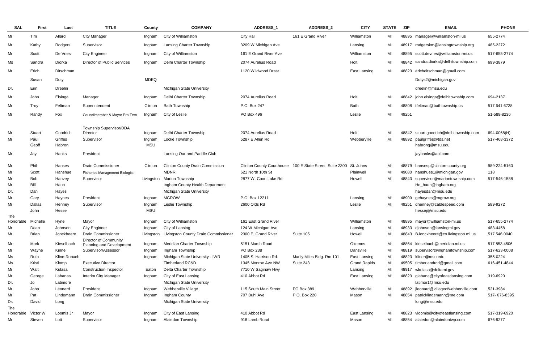| <b>SAL</b>                | <b>First</b>  | Last              | <b>TITLE</b>                                             | <b>County</b>        | <b>COMPANY</b>                         | <b>ADDRESS 1</b>      | <b>ADDRESS 2</b>                                                   | <b>CITY</b>         | <b>STATE</b> | <b>ZIP</b> | <b>EMAIL</b>                                 | <b>PHONE</b> |
|---------------------------|---------------|-------------------|----------------------------------------------------------|----------------------|----------------------------------------|-----------------------|--------------------------------------------------------------------|---------------------|--------------|------------|----------------------------------------------|--------------|
| Mr                        | Tim           | Allard            | <b>City Manager</b>                                      | Ingham               | City of Williamston                    | <b>City Hall</b>      | 161 E Grand River                                                  | Williamston         | MI           |            | 48895 manager@williamston-mi.us              | 655-2774     |
| Mr                        | Kathy         | Rodgers           | Supervisor                                               | Ingham               | <b>Lansing Charter Township</b>        | 3209 W Michigan Ave   |                                                                    | Lansing             | MI           | 48917      | rodgerskm@lansingtownship.org                | 485-2272     |
| Mr                        | Scott         | De Vries          | <b>City Engineer</b>                                     | Ingham               | City of Williamston                    | 161 E Grand River Ave |                                                                    | Williamston         | MI           | 48895      | scott.devries@williamston-mi.us              | 517-655-2774 |
| Ms                        | Sandra        | Diorka            | <b>Director of Public Services</b>                       | Ingham               | Delhi Charter Township                 | 2074 Aurelius Road    |                                                                    | Holt                | MI           | 48842      | sandra.diorka@delhitownship.com              | 699-3879     |
| Mr.                       | Erich         | Ditschman         |                                                          |                      |                                        | 1120 Wildwood Drast   |                                                                    | East Lansing        | MI           | 48823      | erichditschman@gmail.com                     |              |
|                           | Susan         | Doty              |                                                          | <b>MDEQ</b>          |                                        |                       |                                                                    |                     |              |            | Dotys2@michigan.gov                          |              |
| Dr.                       | Erin          | Dreelin           |                                                          |                      | Michigan State University              |                       |                                                                    |                     |              |            | dreelin@msu.edu                              |              |
|                           |               |                   |                                                          |                      |                                        |                       |                                                                    |                     |              |            |                                              |              |
| Mr                        | John          | Elsinga           | Manager                                                  | Ingham               | Delhi Charter Township                 | 2074 Aurelius Road    |                                                                    | Holt                | MI           |            | 48842 john.elsinga@delhitownship.com         | 694-2137     |
| Mr                        | Troy          | Feltman           | Superintendent                                           | Clinton              | <b>Bath Township</b>                   | P.O. Box 247          |                                                                    | Bath                | MI           | 48808      | tfeltman@bathtownship.us                     | 517.641.6728 |
| Mr                        | Randy         | Fox               | Councilmember & Mayor Pro-Tem                            | Ingham               | City of Leslie                         | PO Box 496            |                                                                    | Leslie              | MI           | 49251      |                                              | 51-589-8236  |
|                           |               |                   | Township Supervisor/DDA                                  |                      |                                        |                       |                                                                    |                     |              |            |                                              |              |
| Mr                        | Stuart        | Goodrich          | Director                                                 | Ingham               | Delhi Charter Township                 | 2074 Aurelius Road    |                                                                    | Holt                | MI           |            | 48842 stuart.goodrich@delhitownship.com      | 694-0068(H)  |
| Mr                        | Paul<br>Geoff | Griffes<br>Habron | Supervisor                                               | Ingham<br><b>MSU</b> | Locke Township                         | 5287 E Allen Rd       |                                                                    | Webberville         | MI           |            | 48892 paulgriffes@tds.net<br>habrong@msu.edu | 517-468-3372 |
| Mr.                       | Jay           | Hanks             | President                                                |                      | Lansing Oar and Paddle Club            |                       |                                                                    |                     |              |            | jayhanks@aol.com                             |              |
| Mr                        | Phil          | Hanses            | <b>Drain Commissioner</b>                                | Clinton              | <b>Clinton County Drain Commission</b> |                       | Clinton County Courthouse 100 E State Street, Suite 2300 St. Johns |                     | MI           |            | 48879 hansesp@clinton-county.org             | 989-224-5160 |
| Mr                        | Scott         | Hanshue           | <b>Fisheries Management Biologist</b>                    |                      | <b>MDNR</b>                            | 621 North 10th St     |                                                                    | Plainwell           | MI           |            | 49080 hanshues1@michigan.gov                 | 118          |
| Mr                        | <b>Bob</b>    | Hanvey            | Supervisor                                               | Livingston           | <b>Marion Township</b>                 | 2877 W. Coon Lake Rd  |                                                                    | Howell              | MI           |            | 48843 supervisor@mariontownship.com          | 517-546-1588 |
| Mr.                       | Bill          | Haun              |                                                          |                      | Ingham County Health Department        |                       |                                                                    |                     |              |            | He_haun@ingham.org                           |              |
| Dr.                       | Dan           | Hayes             |                                                          |                      | Michigan State University              |                       |                                                                    |                     |              |            | hayesdan@msu.edu                             |              |
| Mr.                       | Gary          | Haynes            | President                                                | Ingham               | <b>MGROW</b>                           | P.O. Box 12211        |                                                                    | Lansing             | MI           |            | 48909 gehaynes@mgrow.org                     |              |
| Mr                        | Dallas        | Henney            | Supervisor                                               | Ingham               | Leslie Township                        | 2600 Olds Rd          |                                                                    | Leslie              | MI           | 49251      | dhenney@cablespeed.com                       | 589-9272     |
|                           | John          | Hesse             |                                                          | MSU                  |                                        |                       |                                                                    |                     |              |            | hessej@msu.edu                               |              |
| The<br>Honorable Michelle |               | Hyne              | Mayor                                                    | Ingham               | City of Williamston                    | 161 East Grand River  |                                                                    | Williamston         | MI           |            | 48895 mayor@williamston-mi.us                | 517-655-2774 |
| Mr                        | Dean          | Johnson           | <b>City Engineer</b>                                     | Ingham               | City of Lansing                        | 124 W Michigan Ave    |                                                                    | Lansing             | MI           |            | 48933 djohnson@lansingmi.gov                 | 483-4458     |
| Mr                        | Brian         | Jonckheere        | <b>Drain Commissioner</b>                                | Livingston           | Livingston County Drain Commissioner   | 2300 E. Grand River   | Suite 105                                                          | Howell              | MI           |            | 48843 BJonckheere@co.livingston.mi.us        | 517.546.0040 |
| Mr.                       | Mark          | Kieselbach        | <b>Director of Community</b><br>Planning and Development | Ingham               | Meridian Charter Township              | 5151 Marsh Road       |                                                                    | Okemos              | MI           |            | 48864 kieselbach@meridian.mi.us              | 517.853.4506 |
| Mr                        | Wayne         | Kinne             | Supervisor/Assessor                                      | Ingham               | Ingham Township                        | PO Box 238            |                                                                    | Dansville           | MI           |            | 48819 supervisor@inghamtownship.com          | 517-623-0008 |
| Ms                        | Ruth          | Kline-Robach      |                                                          | Ingham               | Michigan State University - IWR        | 1405 S. Harrison Rd.  | Manly Miles Bldg. Rm 101                                           | East Lansing        | MI           |            | 48823 kliner@msu.edu                         | 355-0224     |
| Ms                        | Kristi        | Klomp             | <b>Executive Director</b>                                |                      | <b>Timberland RC&amp;D</b>             | 1345 Monroe Ave NW    | Suite 243                                                          | <b>Grand Rapids</b> | MI           |            | 49505 timberlandrcd@gmail.com                | 616-451-4844 |
| Mr                        | Walt          | Kulasa            | <b>Construction Inspector</b>                            | Eaton                | Delta Charter Township                 | 7710 W Saginaw Hwy    |                                                                    | Lansing             | MI           |            | 48917 wkulasa@deltami.gov                    |              |
| Mr                        | George        | Lahanas           | Interim City Manager                                     | Ingham               | City of East Lansing                   | 410 Abbot Rd          |                                                                    | East Lansing        | MI           |            | 48823 glahana@cityofeastlansing.com          | 319-6920     |
| Dr.                       | Jo            | Latimore          |                                                          |                      | Michigan State University              |                       |                                                                    |                     |              |            | latimor1@msu.edu                             |              |
| Mr                        | John          | Leonard           | President                                                | Ingham               | Webberville Village                    | 115 South Main Street | PO Box 389                                                         | Webberville         | MI           |            | 48892 jleonard@villageofwebberville.com      | 521-3984     |
| Mr                        | Pat           | Lindemann         | Drain Commissioner                                       | Ingham               | Ingham County                          | 707 Buhl Ave          | P.O. Box 220                                                       | Mason               | MI           |            | 48854 patricklindemann@me.com                | 517-676-8395 |
| Dr.                       | David         | Long              |                                                          |                      | Michigan State University              |                       |                                                                    |                     |              |            | long@msu.edu                                 |              |
| The<br>Honorable          | Victor W      | Loomis Jr         | Mayor                                                    | Ingham               | City of East Lansing                   | 410 Abbot Rd          |                                                                    | East Lansing        | MI           |            | 48823 vloomis@cityofeastlansing.com          | 517-319-6920 |
| Mr                        | Steven        | Lott              | Supervisor                                               | Ingham               | Alaiedon Township                      | 916 Lamb Road         |                                                                    | Mason               | MI           | 48854      | alaiedon@alaiedontwp.com                     | 676-9277     |
|                           |               |                   |                                                          |                      |                                        |                       |                                                                    |                     |              |            |                                              |              |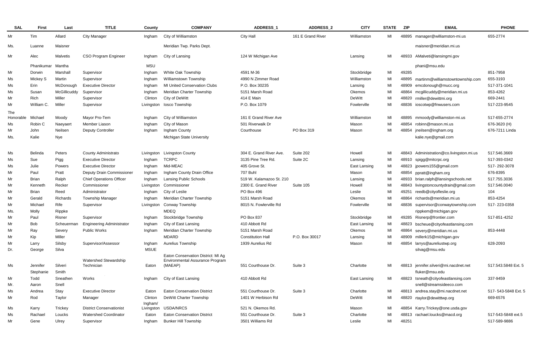| <b>SAL</b> | <b>First</b> | Last           | <b>TITLE</b>                     | County      | <b>COMPANY</b>                                                        | ADDRESS_1                | ADDRESS_2         | <b>CITY</b>  | <b>STATE</b> | ZIP   | <b>EMAIL</b>                          | <b>PHONE</b>        |
|------------|--------------|----------------|----------------------------------|-------------|-----------------------------------------------------------------------|--------------------------|-------------------|--------------|--------------|-------|---------------------------------------|---------------------|
| Mr         | Tim          | Allard         | <b>City Manager</b>              | Ingham      | City of Williamston                                                   | <b>City Hall</b>         | 161 E Grand River | Williamston  | MI           | 48895 | manager@williamston-mi.us             | 655-2774            |
| Ms.        | Luanne       | Maisner        |                                  |             | Meridian Twp. Parks Dept.                                             |                          |                   |              |              |       | maisner@meridian.mi.us                |                     |
| Mr         | Alec         | Malvetis       | CSO Program Engineer             | Ingham      | City of Lansing                                                       | 124 W Michigan Ave       |                   | Lansing      | MI           | 48933 | AMalveti@lansingmi.gov                |                     |
|            | Phanikumar   | Mantha         |                                  | <b>MSU</b>  |                                                                       |                          |                   |              |              |       | phani@msu.edu                         |                     |
| Mr         | Dorwin       | Marshal        | Supervisor                       | Ingham      | White Oak Township                                                    | 4591 M-36                |                   | Stockbridge  | MI           | 49285 |                                       | 851-7958            |
| Ms         | Mickey S     | Martin         | Supervisor                       | Ingham      | Williamstown Township                                                 | 4990 N Zimmer Road       |                   | Williamston  | MI           | 48895 | martinm@williamstowntownship.com      | 655-3193            |
| Ms         | Erin         | McDonough      | <b>Executive Director</b>        | Ingham      | <b>MI United Conservation Clubs</b>                                   | P.O. Box 30235           |                   | Lansing      | MI           | 48909 | emcdonough@mucc.org                   | 517-371-1041        |
| Ms         | Susan        | McGillicuddy   | Supervisor                       | Ingham      | Meridian Charter Township                                             | 5151 Marsh Road          |                   | Okemos       | MI           | 48864 | mcgillicuddy@meridian.mi.us           | 853-4262            |
| Mr         | Rich         | Miller         | Supervisor                       | Clinton     | City of DeWitt                                                        | 414 E Main               |                   | DeWitt       | MI           | 48820 | rmiller@dewittmi.org                  | 669-2441            |
| Mr         | William C.   | Miller         | Supervisor                       | Livingston  | losco Township                                                        | P.O. Box 1079            |                   | Fowlerville  | MI           | 48836 | ioscotwp@fnwusers.com                 | 517-223-9545        |
| The        |              |                |                                  |             |                                                                       | 161 E Grand River Ave    |                   |              |              |       |                                       |                     |
| Honorable  | Michael      | Moody          | Mayor Pro-Tem<br>Member Liason   | Ingham      | City of Williamston                                                   |                          |                   | Williamston  | MI           | 48895 | mmoody@williamston-mi.us              | 517-655-2774        |
| Ms         | Robin C      | Naeyaert       |                                  | Ingham      | City of Mason                                                         | 501 Riverwalk Dr         |                   | Mason        | MI           | 48854 | robinn@mason.mi.us                    | 676-3620 (H)        |
| Mr         | John         | Neilsen        | <b>Deputy Controller</b>         | Ingham      | Ingham County                                                         | Courthouse               | PO Box 319        | Mason        | MI           | 48854 | jneilsen@ingham.org                   | 676-7211 Linda      |
| Ms.        | Kalie        | Nye            |                                  |             | Michigan State University                                             |                          |                   |              |              |       | kalie.nye@gmail.com                   |                     |
| Ms         | Belinda      | Peters         | County Administrato              | Livingston  | <b>Livingston County</b>                                              | 304 E. Grand River Ave.  | Suite 202         | Howell       | MI           | 48843 | Administration@co.livingston.mi.us    | 517.546.3669        |
| Ms         | Sue          | Pigg           | <b>Executive Director</b>        | Ingham      | <b>TCRPC</b>                                                          | 3135 Pine Tree Rd.       | Suite 2C          | Lansing      | MI           | 48910 | spigg@mitcrpc.org                     | 517-393-0342        |
| Ms         | Julie        | <b>Powers</b>  | <b>Executive Director</b>        | Ingham      | Mid-MEAC                                                              | 405 Grove St.            |                   | East Lansing | MI           | 48823 | jpowers155@gmail.com                  | 517-292-3078        |
| Mr         | Paul         | Pratt          | Deputy Drain Commissioner        | Ingham      | Ingham County Drain Office                                            | 707 Buhl                 |                   | Mason        | MI           | 48854 | ppratt@ingham.org                     | 676-8395            |
| Mr         | <b>Brian</b> | Ralph          | <b>Chief Operations Officer</b>  | Ingham      | <b>Lansing Public Schools</b>                                         | 519 W. Kalamazoo St. 210 |                   | Lansing      | MI           | 48933 | brian.ralph@lansingschools.net        | 517.755.3036        |
| Mr         | Kenneth      | Recker         | Commissioner                     | Livingston  | Commissioner                                                          | 2300 E. Grand River      | Suite 105         | Howell       | MI           | 48843 | livingstoncountydrain@gmail.com       | 517.546.0040        |
| Mr         | <b>Brian</b> | Reed           | Administrator                    | Ingham      | City of Leslie                                                        | PO Box 496               |                   | Leslie       | MI           | 49251 | reedb@cityofleslie.org                | 104                 |
| Mr         | Gerald       | Richards       | <b>Township Manager</b>          | Ingham      | Meridian Charter Township                                             | 5151 Marsh Road          |                   | Okemos       | MI           | 48864 | richards@meridian.mi.us               | 853-4254            |
| Mr         | Michael      | Rife           | Supervisor                       | Livingston  | Conway Township                                                       | 8015 N. Fowlerville Rd   |                   | Fowlerville  | МI           | 48836 | supervisor@conwaytownship.com         | 517-223-0358        |
| Ms.        | Molly        | Rippke         |                                  |             | <b>MDEQ</b>                                                           |                          |                   |              |              |       | rippkem@michigan.gov                  |                     |
| Mr         | Paul         | Risner         | Supervisor                       | Ingham      | Stockbridge Township                                                  | PO Box 837               |                   | Stockbridge  | MI           | 49285 | Risnerp@frontier.com                  | 517-851-4252        |
| Mr         | <b>Bob</b>   | Scheuerman     | <b>Engineering Administrator</b> | Ingham      | City of East Lansing                                                  | 410 Abbott Rd            |                   | East Lansing | MI           | 48823 | bscheue@cityofeastlansing.com         |                     |
| Mr         | Ray          | Severy         | Public Works                     | Ingham      | Meridian Charter Township                                             | 5151 Marsh Road          |                   | Okemos       | MI           | 48864 | severy@meridian.mi.us                 | 853-4448            |
| Mr         | Kip          | Miller         |                                  |             | MDARD                                                                 | <b>Constitution Hall</b> | P.O. Box 30017    | Lansing      | MI           | 48909 | millerk15@michigan.gov                |                     |
| Mr         | Larry        | Silsby         | Supervisor/Assessor              | Ingham      | Aurelius Township                                                     | 1939 Aurelius Rd         |                   | Mason        | MI           | 48854 | larrys@aureliustwp.org                | 628-2093            |
| Dr.        | George       | Silva          |                                  | <b>MSUE</b> |                                                                       |                          |                   |              |              |       | silvag@msu.edu                        |                     |
|            |              |                | Watershed Stewardship            |             | Eaton Conservation District: MI Ag<br>Environmental Assurance Program |                          |                   |              |              |       |                                       |                     |
| Ms         | Jennifer     | Silveri        | Technician                       | Eaton       | (MAEAP)                                                               | 551 Courthouse Dr.       | Suite 3           | Charlotte    | MI           |       | 48813 jennifer.silveri@mi.nacdnet.net | 517.543.5848 Ext. 5 |
|            | Stephanie    | Smith          |                                  |             |                                                                       |                          |                   |              |              |       | fluker@msu.edu                        |                     |
| Mr         | Todd         | Sneathen       | Works                            | Ingham      | City of East Lansing                                                  | 410 Abbott Rd            |                   | East Lansing | MI           | 48823 | tsneath@cityofeastlansing.com         | 337-9459            |
| Mr.        | Aaron        | Snell          |                                  |             |                                                                       |                          |                   |              |              |       | snell@streamsideeco.com               |                     |
| Ms         | Andrea       | Stay           | <b>Executive Director</b>        | Eaton       | <b>Eaton Conservation District</b>                                    | 551 Courthouse Dr.       | Suite 3           | Charlotte    | MI           |       | 48813 andrea.stay@mi.nacdnet.net      | 517-543-5848 Ext. 5 |
| Mr         | Rod          | Taylor         | Manager                          | Clinton     | DeWitt Charter Township                                               | 1401 W Herbison Rd       |                   | DeWitt       | MI           | 48820 | rtaylor@dewitttwp.org                 | 669-6576            |
|            |              |                |                                  | Ingham/     |                                                                       |                          |                   |              |              |       |                                       |                     |
| Ms         | Karry        | <b>Trickey</b> | <b>District Conservationist</b>  | Livingston  | USDA/NRCS                                                             | 521 N. Okemos Rd.        |                   | Mason        | MI           | 48854 | Karry.Trickey@one.usda.gov            |                     |
| Ms         | Rachael      | Loucks         | <b>Watershed Coordinator</b>     | Eaton       | <b>Eaton Conservation District</b>                                    | 551 Courthouse Dr.       | Suite 3           | Charlotte    | MI           | 48813 | rachael.loucks@macd.org               | 517-543-5848 ext.5  |
| Mr         | Gene         | Ulrey          | Supervisor                       | Ingham      | <b>Bunker Hill Township</b>                                           | 3501 Williams Rd         |                   | Leslie       | MI           | 48251 |                                       | 517-589-9886        |